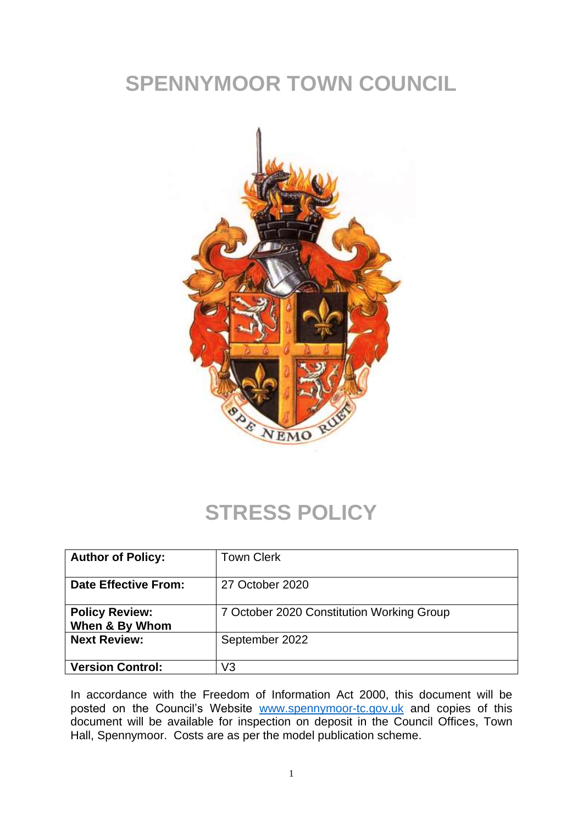# **SPENNYMOOR TOWN COUNCIL**



#### **STRESS POLICY**

| <b>Author of Policy:</b>                | <b>Town Clerk</b>                         |
|-----------------------------------------|-------------------------------------------|
| <b>Date Effective From:</b>             | 27 October 2020                           |
| <b>Policy Review:</b><br>When & By Whom | 7 October 2020 Constitution Working Group |
| <b>Next Review:</b>                     | September 2022                            |
| <b>Version Control:</b>                 | $\sqrt{3}$                                |

In accordance with the Freedom of Information Act 2000, this document will be posted on the Council's Website [www.spennymoor-tc.gov.uk](http://www.spennymoor-tc.gov.uk/) and copies of this document will be available for inspection on deposit in the Council Offices, Town Hall, Spennymoor. Costs are as per the model publication scheme.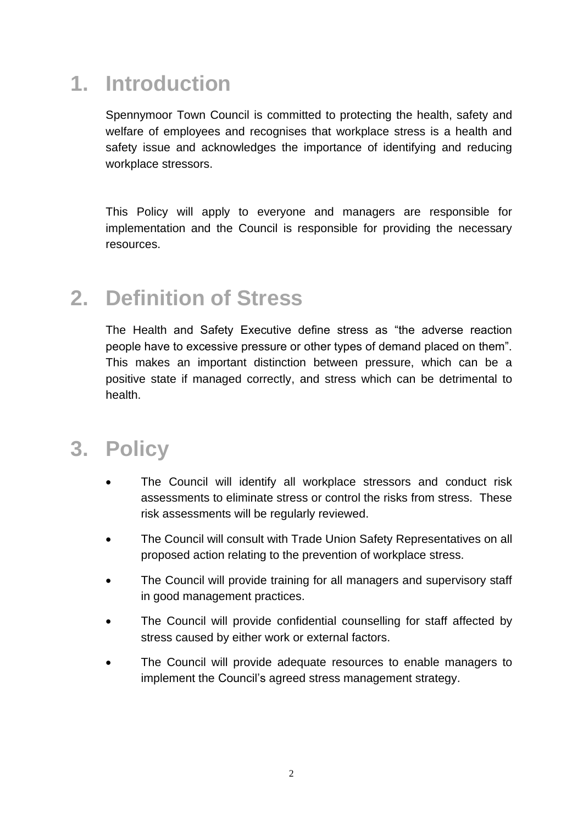## **1. Introduction**

Spennymoor Town Council is committed to protecting the health, safety and welfare of employees and recognises that workplace stress is a health and safety issue and acknowledges the importance of identifying and reducing workplace stressors.

This Policy will apply to everyone and managers are responsible for implementation and the Council is responsible for providing the necessary resources.

#### **2. Definition of Stress**

The Health and Safety Executive define stress as "the adverse reaction people have to excessive pressure or other types of demand placed on them". This makes an important distinction between pressure, which can be a positive state if managed correctly, and stress which can be detrimental to health.

### **3. Policy**

- The Council will identify all workplace stressors and conduct risk assessments to eliminate stress or control the risks from stress. These risk assessments will be regularly reviewed.
- The Council will consult with Trade Union Safety Representatives on all proposed action relating to the prevention of workplace stress.
- The Council will provide training for all managers and supervisory staff in good management practices.
- The Council will provide confidential counselling for staff affected by stress caused by either work or external factors.
- The Council will provide adequate resources to enable managers to implement the Council's agreed stress management strategy.